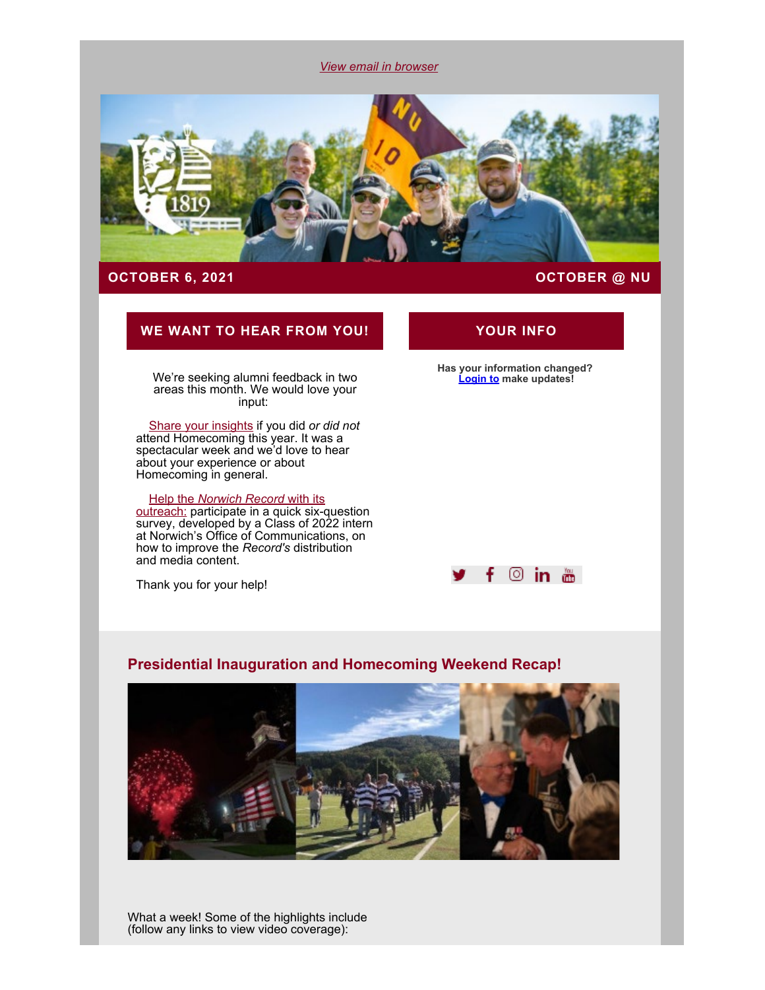*[View email in browser](#page-0-0)*

<span id="page-0-0"></span>

# **OCTOBER 6, 2021 [OCTOBER @ NU](https://alumni.norwich.edu/page.aspx?pid=279&srctid=1&erid=21659693&trid=a0b94622-9727-4607-8c1b-43bf5696519a)**

# **WE WANT TO HEAR FROM YOU! YOUR INFO**

We're seeking alumni feedback in two areas this month. We would love your input:

[Share your insights](https://alumni.norwich.edu/page.redir?target=https%3a%2f%2fwww.surveymonkey.com%2fr%2fQ5NHWJ5&srcid=151226&srctid=1&erid=21659693&trid=a0b94622-9727-4607-8c1b-43bf5696519a) if you did *or did not* attend Homecoming this year. It was a spectacular week and we'd love to hear about your experience or about Homecoming in general.

### [Help the](https://alumni.norwich.edu/page.redir?target=https%3a%2f%2fbit.ly%2fNURecordSurvey2021&srcid=151226&srctid=1&erid=21659693&trid=a0b94622-9727-4607-8c1b-43bf5696519a) *[Norwich Record](https://alumni.norwich.edu/page.redir?target=https%3a%2f%2fbit.ly%2fNURecordSurvey2021&srcid=151226&srctid=1&erid=21659693&trid=a0b94622-9727-4607-8c1b-43bf5696519a)* [with its](https://alumni.norwich.edu/page.redir?target=https%3a%2f%2fbit.ly%2fNURecordSurvey2021&srcid=151226&srctid=1&erid=21659693&trid=a0b94622-9727-4607-8c1b-43bf5696519a)

<u>outreach:</u> participate in a quick six-question survey, developed by a Class of 2022 intern at Norwich's Office of Communications, on how to improve the *Record's* distribution and media content.

Thank you for your help!

**Has your information changed? [Login to](https://alumni.norwich.edu/MyInfo?srctid=1&erid=21659693&trid=a0b94622-9727-4607-8c1b-43bf5696519a) make updates!**



# **Presidential Inauguration and Homecoming Weekend Recap!**



What a week! Some of the highlights include (follow any links to view video coverage):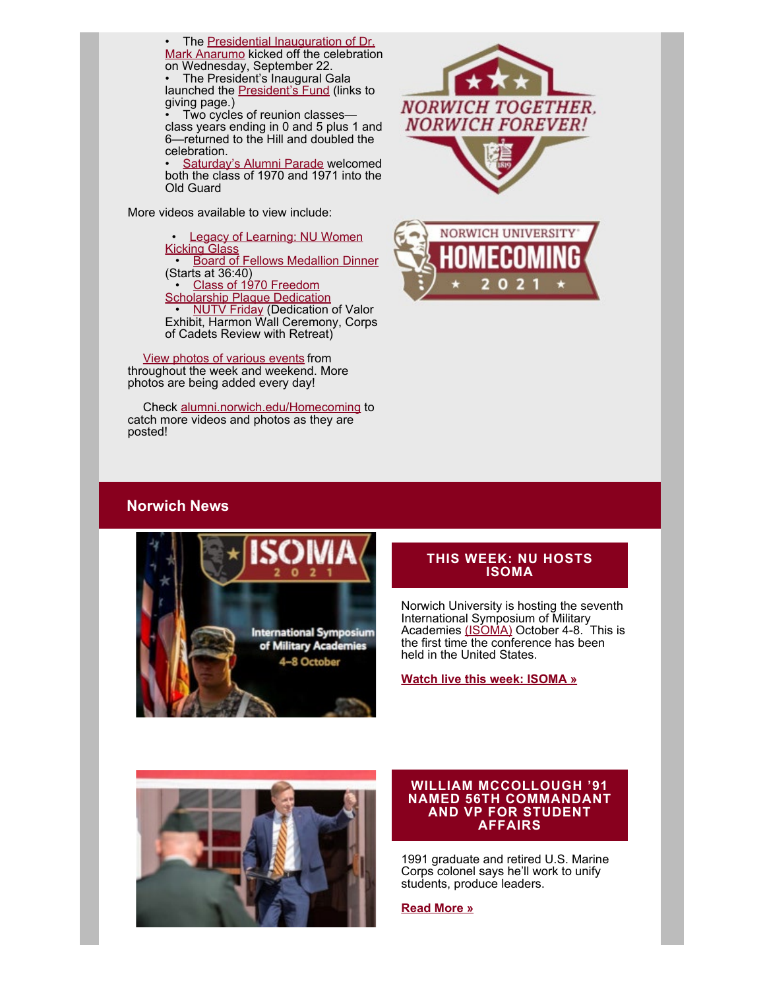The [Presidential Inauguration of Dr.](https://alumni.norwich.edu/page.redir?target=https%3a%2f%2ffb.watch%2f8iQQU0nQ5g%2f&srcid=151226&srctid=1&erid=21659693&trid=a0b94622-9727-4607-8c1b-43bf5696519a) [Mark Anarumo](https://alumni.norwich.edu/page.redir?target=https%3a%2f%2ffb.watch%2f8iQQU0nQ5g%2f&srcid=151226&srctid=1&erid=21659693&trid=a0b94622-9727-4607-8c1b-43bf5696519a) kicked off the celebration on Wednesday, September 22.

• The President's Inaugural Gala launched the [President's Fund](https://alumni.norwich.edu/give/presidentsfund?srctid=1&erid=21659693&trid=a0b94622-9727-4607-8c1b-43bf5696519a) (links to giving page.)

Two cycles of reunion classesclass years ending in 0 and 5 plus 1 and 6—returned to the Hill and doubled the celebration.

[Saturday's Alumni Parade](https://alumni.norwich.edu/page.redir?target=https%3a%2f%2ffb.watch%2f8iQvDFg2qI%2f&srcid=151226&srctid=1&erid=21659693&trid=a0b94622-9727-4607-8c1b-43bf5696519a) welcomed both the class of 1970 and 1971 into the Old Guard

More videos available to view include:

• [Legacy of Learning: NU Women](https://alumni.norwich.edu/page.redir?target=https%3a%2f%2ffb.watch%2f8iQJpb952d%2f&srcid=151226&srctid=1&erid=21659693&trid=a0b94622-9727-4607-8c1b-43bf5696519a) [Kicking Glass](https://alumni.norwich.edu/page.redir?target=https%3a%2f%2ffb.watch%2f8iQJpb952d%2f&srcid=151226&srctid=1&erid=21659693&trid=a0b94622-9727-4607-8c1b-43bf5696519a) • [Board of Fellows Medallion Dinner](https://alumni.norwich.edu/page.redir?target=https%3a%2f%2ffb.watch%2f8iQzhjWCDD%2f&srcid=151226&srctid=1&erid=21659693&trid=a0b94622-9727-4607-8c1b-43bf5696519a) (Starts at 36:40) • [Class of 1970 Freedom](https://alumni.norwich.edu/page.redir?target=https%3a%2f%2ffb.watch%2f8iQNiX8CDJ%2f&srcid=151226&srctid=1&erid=21659693&trid=a0b94622-9727-4607-8c1b-43bf5696519a) **[Scholarship Plaque Dedication](https://alumni.norwich.edu/page.redir?target=https%3a%2f%2ffb.watch%2f8iQNiX8CDJ%2f&srcid=151226&srctid=1&erid=21659693&trid=a0b94622-9727-4607-8c1b-43bf5696519a)** • <u>[NUTV Friday](https://alumni.norwich.edu/page.redir?target=https%3a%2f%2ffb.watch%2f8iQx1OdW6X%2f&srcid=151226&srctid=1&erid=21659693&trid=a0b94622-9727-4607-8c1b-43bf5696519a)</u> (Dedication of Valor Exhibit, Harmon Wall Ceremony, Corps of Cadets Review with Retreat)

[View photos of various events](https://alumni.norwich.edu/page.redir?target=https%3a%2f%2fnorwichphotography.photoshelter.com%2fgallery-collection%2fInauguration-and-Homecoming-2021%2fC0000Nxl.tnLfc6c&srcid=151226&srctid=1&erid=21659693&trid=a0b94622-9727-4607-8c1b-43bf5696519a) from throughout the week and weekend. More photos are being added every day!

Check [alumni.norwich.edu/Homecoming](https://alumni.norwich.edu/events/homecoming/2021recap?srctid=1&erid=21659693&trid=a0b94622-9727-4607-8c1b-43bf5696519a) to catch more videos and photos as they are posted!



# **Norwich News**



### **THIS WEEK: NU HOSTS ISOMA**

Norwich University is hosting the seventh International Symposium of Military Academies <u>(ISOMA)</u> October 4-8. This is the first time the conference has been held in the United States.

**[Watch live this week: ISOMA »](https://alumni.norwich.edu/page.redir?target=https%3a%2f%2fwww.acadiate.com%2f%2fee%2fNorwich-ISOMA%2fLobby&srcid=151226&srctid=1&erid=21659693&trid=a0b94622-9727-4607-8c1b-43bf5696519a)**



#### **WILLIAM MCCOLLOUGH '91 NAMED 56TH COMMANDANT AND VP FOR STUDENT AFFAIRS**

1991 graduate and retired U.S. Marine Corps colonel says he'll work to unify students, produce leaders.

**[Read More »](https://alumni.norwich.edu/page.redir?target=https%3a%2f%2fwww.norwich.edu%2fnews%2f3358-norwich-university-alumnus-william-mccullough-named-56-commandant-and-student-affairs-vice-president&srcid=151226&srctid=1&erid=21659693&trid=a0b94622-9727-4607-8c1b-43bf5696519a)**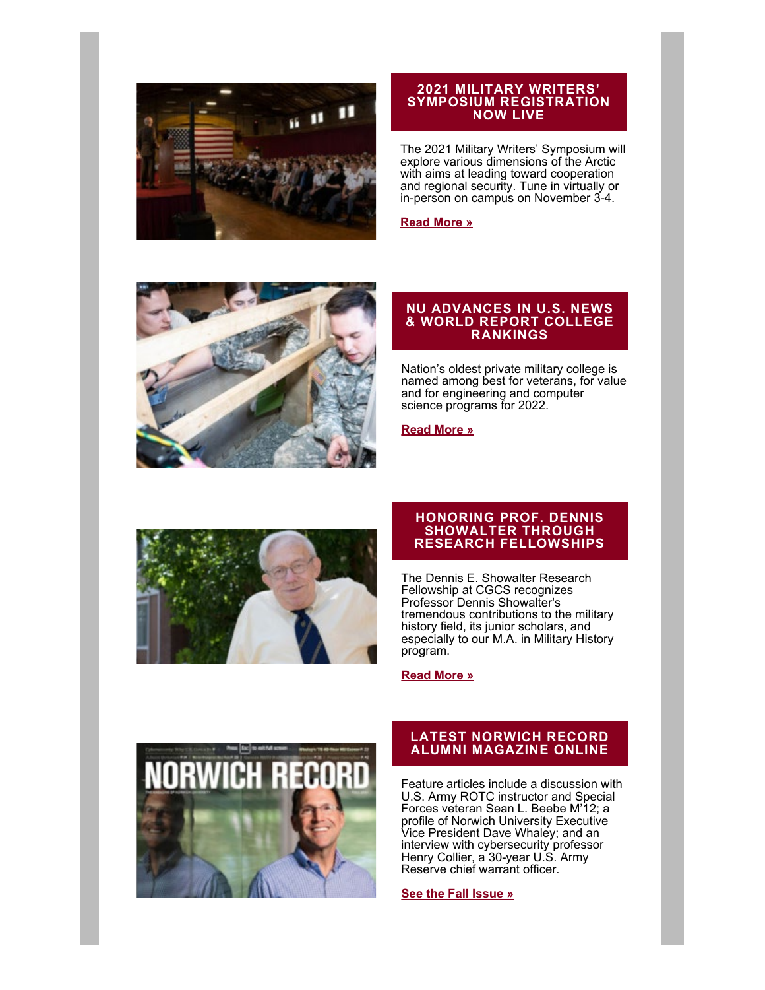

#### **2021 MILITARY WRITERS' SYMPOSIUM REGISTRATION NOW LIVE**

The 2021 Military Writers' Symposium will explore various dimensions of the Arctic with aims at leading toward cooperation and regional security. Tune in virtually or in-person on campus on November 3-4.

**[Read More »](https://alumni.norwich.edu/page.redir?target=https%3a%2f%2fwww.norwich.edu%2fmilitary-writers-symposium&srcid=151226&srctid=1&erid=21659693&trid=a0b94622-9727-4607-8c1b-43bf5696519a)**



### **NU ADVANCES IN U.S. NEWS & WORLD REPORT COLLEGE RANKINGS**

Nation's oldest private military college is named among best for veterans, for value and for engineering and computer science programs for 2022.

**[Read More »](https://alumni.norwich.edu/page.redir?target=https%3a%2f%2fwww.norwich.edu%2fnews%2f3361-norwich-university-gains-in-u-s-news-world-report-college-rankings&srcid=151226&srctid=1&erid=21659693&trid=a0b94622-9727-4607-8c1b-43bf5696519a)**



#### **HONORING PROF. DENNIS SHOWALTER THROUGH RESEARCH FELLOWSHIPS**

The Dennis E. Showalter Research Fellowship at CGCS recognizes Professor Dennis Showalter's tremendous contributions to the military history field, its junior scholars, and especially to our M.A. in Military History program.

#### **[Read More »](https://alumni.norwich.edu/give/dennisshowalterfellowship?srctid=1&erid=21659693&trid=a0b94622-9727-4607-8c1b-43bf5696519a)**



# **LATEST NORWICH RECORD ALUMNI MAGAZINE ONLINE**

Feature articles include a discussion with U.S. Army ROTC instructor and Special Forces veteran Sean L. Beebe M'12; a profile of Norwich University Executive Vice President Dave Whaley; and an interview with cybersecurity professor Henry Collier, a 30-year U.S. Army Reserve chief warrant officer.

#### **[See the Fall Issue »](https://alumni.norwich.edu/page.redir?target=https%3a%2f%2fwww.norwich.edu%2frecord&srcid=151226&srctid=1&erid=21659693&trid=a0b94622-9727-4607-8c1b-43bf5696519a)**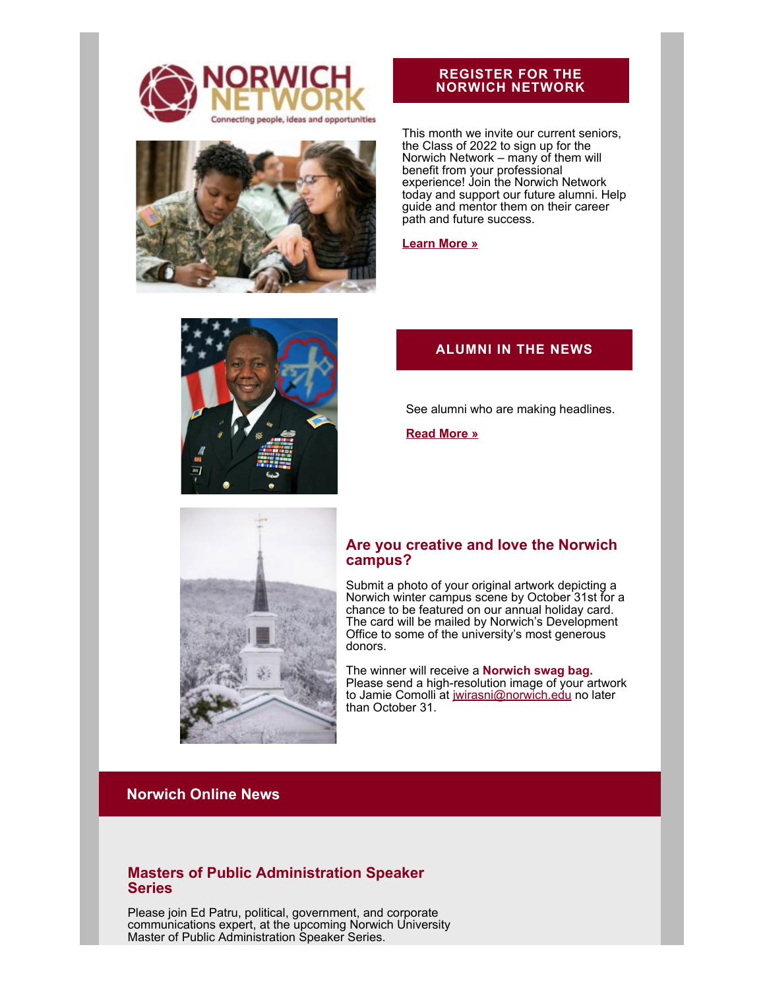



# **REGISTER FOR THE NORWICH NETWORK**

This month we invite our current seniors, the Class of 2022 to sign up for the Norwich Network – many of them will benefit from your professional experience! Join the Norwich Network today and support our future alumni. Help guide and mentor them on their career path and future success.

**[Learn More »](https://alumni.norwich.edu/page.redir?target=https%3a%2f%2fnetworking.norwich.edu%2f&srcid=151226&srctid=1&erid=21659693&trid=a0b94622-9727-4607-8c1b-43bf5696519a)**



# **ALUMNI IN THE NEWS**

See alumni who are making headlines.

**[Read More »](https://alumni.norwich.edu/AlumniNews?srctid=1&erid=21659693&trid=a0b94622-9727-4607-8c1b-43bf5696519a)**



# **Are you creative and love the Norwich campus?**

Submit a photo of your original artwork depicting a Norwich winter campus scene by October 31st for a chance to be featured on our annual holiday card. The card will be mailed by Norwich's Development Office to some of the university's most generous donors.

The winner will receive a **Norwich swag bag.** Please send a high-resolution image of your artwork to Jamie Comolli at [jwirasni@norwich.edu](mailto:jwirasni@norwich.edu) no later than October 31.

# **Norwich Online News**

# **Masters of Public Administration Speaker Series**

Please join Ed Patru, political, government, and corporate communications expert, at the upcoming Norwich University Master of Public Administration Speaker Series.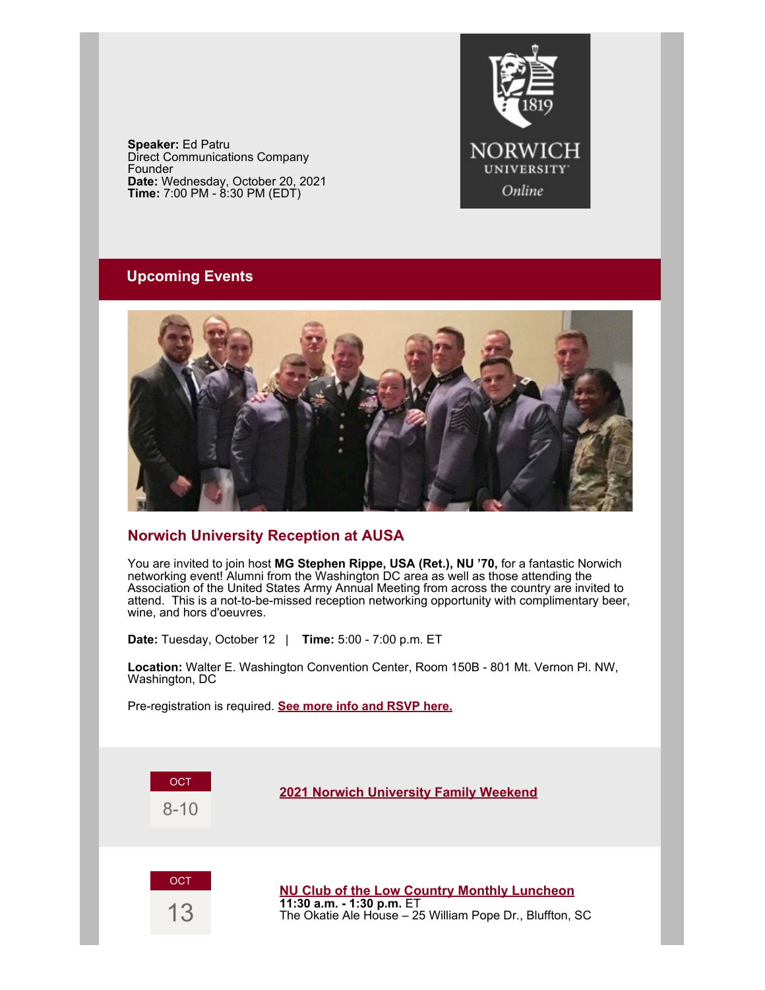**Speaker:** Ed Patru Direct Communications Company Founder **Date:** Wednesday, October 20, 2021 **Time:** 7:00 PM - 8:30 PM (EDT)



# **Upcoming Events**



# **Norwich University Reception at AUSA**

You are invited to join host **MG Stephen Rippe, USA (Ret.), NU '70,** for a fantastic Norwich networking event! Alumni from the Washington DC area as well as those attending the Association of the United States Army Annual Meeting from across the country are invited to attend. This is a not-to-be-missed reception networking opportunity with complimentary beer, wine, and hors d'oeuvres.

**Date:** Tuesday, October 12 | **Time:** 5:00 - 7:00 p.m. ET

**Location:** Walter E. Washington Convention Center, Room 150B - 801 Mt. Vernon Pl. NW, Washington, DC

Pre-registration is required. **[See more info and RSVP here.](https://alumni.norwich.edu/AUSAReception?srctid=1&erid=21659693&trid=a0b94622-9727-4607-8c1b-43bf5696519a)**

**OCT** 8-10

**[2021 Norwich University Family Weekend](https://alumni.norwich.edu/2021Familyweekend?srctid=1&erid=21659693&trid=a0b94622-9727-4607-8c1b-43bf5696519a)**

**OCT** 

13

**[NU Club of the Low Country Monthly Luncheon](https://alumni.norwich.edu/LowCountryMonthlyLunch?srctid=1&erid=21659693&trid=a0b94622-9727-4607-8c1b-43bf5696519a) 11:30 a.m. - 1:30 p.m.** ET The Okatie Ale House – 25 William Pope Dr., Bluffton, SC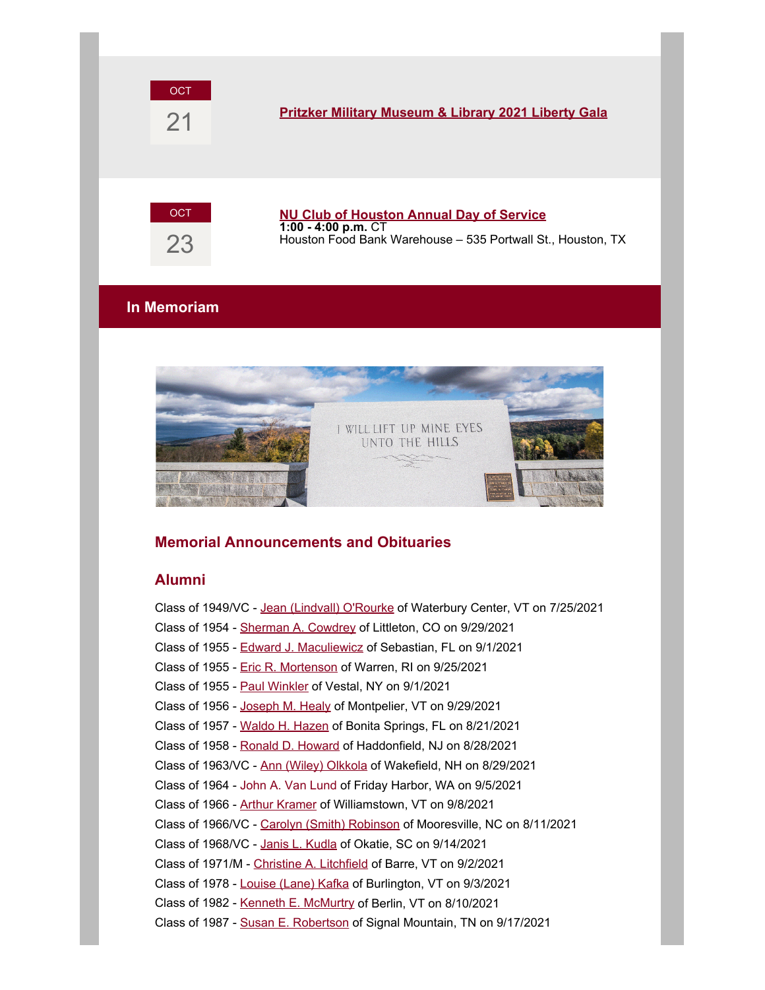

# 21 **[Pritzker Military Museum & Library 2021 Liberty Gala](https://alumni.norwich.edu/page.redir?target=https%3a%2f%2fwww.pritzkermilitary.org%2fevents%2fliberty-gala%2f2021-liberty-gala&srcid=151226&srctid=1&erid=21659693&trid=a0b94622-9727-4607-8c1b-43bf5696519a)**



#### **[NU Club of Houston Annual Day of Service](https://alumni.norwich.edu/HoustonService?srctid=1&erid=21659693&trid=a0b94622-9727-4607-8c1b-43bf5696519a) 1:00 - 4:00 p.m.** CT Houston Food Bank Warehouse – 535 Portwall St., Houston, TX

# **In Memoriam**



# **Memorial Announcements and Obituaries**

# **Alumni**

Class of 1949/VC - [Jean \(Lindvall\) O'Rourke](https://alumni.norwich.edu/page.redir?target=https%3a%2f%2fwww.vtcng.com%2fstowe_reporter%2fcommunity%2fobituaries%2fjean-elizabeth-o-rourke%2farticle_2d06492a-fb8e-11eb-9476-2f46f5aa9b4f.html&srcid=151226&srctid=1&erid=21659693&trid=a0b94622-9727-4607-8c1b-43bf5696519a) of Waterbury Center, VT on 7/25/2021 Class of 1954 - [Sherman A. Cowdrey](https://alumni.norwich.edu/page.redir?target=https%3a%2f%2fwww.legacy.com%2fus%2fobituaries%2fdenverpost%2fname%2fsherman-cowdrey-obituary%3fid%3d19197915&srcid=151226&srctid=1&erid=21659693&trid=a0b94622-9727-4607-8c1b-43bf5696519a) of Littleton, CO on 9/29/2021 Class of 1955 - [Edward J. Maculiewicz](https://alumni.norwich.edu/page.redir?target=https%3a%2f%2fdavismemorialchapel.net%2fobituaries%2ff%2fedward-j-maculiewicz%3fblogcategory%3dObituaries&srcid=151226&srctid=1&erid=21659693&trid=a0b94622-9727-4607-8c1b-43bf5696519a) of Sebastian, FL on 9/1/2021 Class of 1955 - [Eric R. Mortenson](https://alumni.norwich.edu/page.redir?target=https%3a%2f%2fwww.tributearchive.com%2fobituaries%2f22506034%2feric-mortenson-jr&srcid=151226&srctid=1&erid=21659693&trid=a0b94622-9727-4607-8c1b-43bf5696519a) of Warren, RI on 9/25/2021 Class of 1955 - [Paul Winkler](https://alumni.norwich.edu/page.redir?target=https%3a%2f%2fwww.pressconnects.com%2fobituaries%2fbps118191&srcid=151226&srctid=1&erid=21659693&trid=a0b94622-9727-4607-8c1b-43bf5696519a) of Vestal, NY on 9/1/2021 Class of 1956 - [Joseph M. Healy](https://alumni.norwich.edu/page.redir?target=https%3a%2f%2fwww.timesargus.com%2fobituaries%2fjoseph-m-healy%2farticle_4c62bafb-49f0-5d17-91fb-9eaea775a8de.html&srcid=151226&srctid=1&erid=21659693&trid=a0b94622-9727-4607-8c1b-43bf5696519a) of Montpelier, VT on 9/29/2021 Class of 1957 - [Waldo H. Hazen](https://alumni.norwich.edu/page.redir?target=https%3a%2f%2fwww.tributearchive.com%2fobituaries%2f22219668%2fwaldo-skip-hodge-hazen&srcid=151226&srctid=1&erid=21659693&trid=a0b94622-9727-4607-8c1b-43bf5696519a) of Bonita Springs, FL on 8/21/2021 Class of 1958 - [Ronald D. Howard](https://alumni.norwich.edu/page.redir?target=https%3a%2f%2fkainmurphy.com%2fobituary%2fronald-d-howard%2f&srcid=151226&srctid=1&erid=21659693&trid=a0b94622-9727-4607-8c1b-43bf5696519a) of Haddonfield, NJ on 8/28/2021 Class of 1963/VC - [Ann \(Wiley\) Olkkola](https://alumni.norwich.edu/page.redir?target=https%3a%2f%2fwww.lordfuneralhome.com%2fobituary%2fAnn-Olkkola&srcid=151226&srctid=1&erid=21659693&trid=a0b94622-9727-4607-8c1b-43bf5696519a) of Wakefield, NH on 8/29/2021 Class of 1964 - John A. Van Lund of Friday Harbor, WA on 9/5/2021 Class of 1966 - [Arthur Kramer](https://alumni.norwich.edu/page.redir?target=https%3a%2f%2fwww.dayfunerals.com%2fobituary%2f7622406&srcid=151226&srctid=1&erid=21659693&trid=a0b94622-9727-4607-8c1b-43bf5696519a) of Williamstown, VT on 9/8/2021 Class of 1966/VC - [Carolyn \(Smith\) Robinson](https://alumni.norwich.edu/page.redir?target=https%3a%2f%2fwww.eagletimes.com%2fobituaries%2fcarolyn-smith-robinson%2farticle_c93e65ca-7132-5a95-98b3-cf1aaa0d66aa.html&srcid=151226&srctid=1&erid=21659693&trid=a0b94622-9727-4607-8c1b-43bf5696519a) of Mooresville, NC on 8/11/2021 Class of 1968/VC - [Janis L. Kudla](https://alumni.norwich.edu/page.redir?target=https%3a%2f%2fwww.tributearchive.com%2fobituaries%2f22414902%2fjanis-l-kudla&srcid=151226&srctid=1&erid=21659693&trid=a0b94622-9727-4607-8c1b-43bf5696519a) of Okatie, SC on 9/14/2021 Class of 1971/M - [Christine A. Litchfield](https://alumni.norwich.edu/page.redir?target=https%3a%2f%2fwww.hookerwhitcomb.com%2fobituary%2fchristine-litchfield&srcid=151226&srctid=1&erid=21659693&trid=a0b94622-9727-4607-8c1b-43bf5696519a) of Barre, VT on 9/2/2021 Class of 1978 - [Louise \(Lane\) Kafka](https://alumni.norwich.edu/page.redir?target=https%3a%2f%2fwww.burlingtonfreepress.com%2fobituaries%2fbfp035753&srcid=151226&srctid=1&erid=21659693&trid=a0b94622-9727-4607-8c1b-43bf5696519a) of Burlington, VT on 9/3/2021 Class of 1982 - [Kenneth E. McMurtry](https://alumni.norwich.edu/page.redir?target=https%3a%2f%2fwww.timesargus.com%2fobituaries%2fkenneth-e-mcmurtry%2farticle_5e7bb57b-c81a-58cb-a032-92310cdec83a.html&srcid=151226&srctid=1&erid=21659693&trid=a0b94622-9727-4607-8c1b-43bf5696519a) of Berlin, VT on 8/10/2021 Class of 1987 - [Susan E. Robertson](https://alumni.norwich.edu/page.redir?target=https%3a%2f%2fwww.dignitymemorial.com%2fobituaries%2fchattanooga-tn%2fsusan-robertson-10361698&srcid=151226&srctid=1&erid=21659693&trid=a0b94622-9727-4607-8c1b-43bf5696519a) of Signal Mountain, TN on 9/17/2021